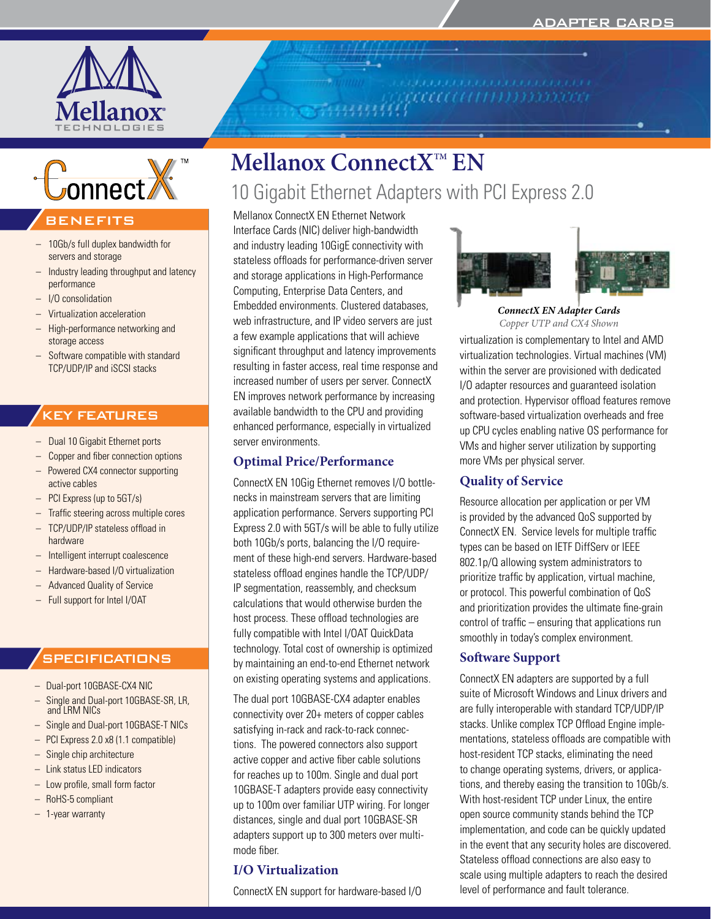

onnect

# BENEFITS

- 10Gb/s full duplex bandwidth for servers and storage
- Industry leading throughput and latency performance
- I/O consolidation
- Virtualization acceleration
- High-performance networking and storage access
- Software compatible with standard TCP/UDP/IP and iSCSI stacks

# KEY FEATURES

- Dual 10 Gigabit Ethernet ports
- Copper and fiber connection options
- Powered CX4 connector supporting active cables
- PCI Express (up to 5GT/s)
- Traffic steering across multiple cores
- TCP/UDP/IP stateless offload in hardware
- Intelligent interrupt coalescence
- Hardware-based I/O virtualization
- Advanced Quality of Service
- Full support for Intel I/OAT

# **SPECIFICATIONS**

- Dual-port 10GBASE-CX4 NIC
- Single and Dual-port 10GBASE-SR, LR, and LRM NICs
- Single and Dual-port 10GBASE-T NICs
- PCI Express 2.0 x8 (1.1 compatible)
- Single chip architecture
- Link status LED indicators
- Low profile, small form factor
- RoHS-5 compliant
- 1-year warranty

# **Mellanox ConnectXTM EN**

# 10 Gigabit Ethernet Adapters with PCI Express 2.0

Mellanox ConnectX EN Ethernet Network Interface Cards (NIC) deliver high-bandwidth and industry leading 10GigE connectivity with stateless offloads for performance-driven server and storage applications in High-Performance Computing, Enterprise Data Centers, and Embedded environments. Clustered databases, web infrastructure, and IP video servers are just a few example applications that will achieve significant throughput and latency improvements resulting in faster access, real time response and increased number of users per server. ConnectX EN improves network performance by increasing available bandwidth to the CPU and providing enhanced performance, especially in virtualized server environments.

# **Optimal Price/Performance**

ConnectX EN 10Gig Ethernet removes I/O bottlenecks in mainstream servers that are limiting application performance. Servers supporting PCI Express 2.0 with 5GT/s will be able to fully utilize both 10Gb/s ports, balancing the I/O requirement of these high-end servers. Hardware-based stateless offload engines handle the TCP/UDP/ IP segmentation, reassembly, and checksum calculations that would otherwise burden the host process. These offload technologies are fully compatible with Intel I/OAT QuickData technology. Total cost of ownership is optimized by maintaining an end-to-end Ethernet network on existing operating systems and applications.

The dual port 10GBASE-CX4 adapter enables connectivity over 20+ meters of copper cables satisfying in-rack and rack-to-rack connections. The powered connectors also support active copper and active fiber cable solutions for reaches up to 100m. Single and dual port 10GBASE-T adapters provide easy connectivity up to 100m over familiar UTP wiring. For longer distances, single and dual port 10GBASE-SR adapters support up to 300 meters over multimode fiber.

# **I/O Virtualization**

ConnectX EN support for hardware-based I/O



*ConnectX EN Adapter Cards Copper UTP and CX4 Shown*

virtualization is complementary to Intel and AMD virtualization technologies. Virtual machines (VM) within the server are provisioned with dedicated I/O adapter resources and guaranteed isolation and protection. Hypervisor offload features remove software-based virtualization overheads and free up CPU cycles enabling native OS performance for VMs and higher server utilization by supporting more VMs per physical server.

# **Quality of Service**

Resource allocation per application or per VM is provided by the advanced QoS supported by ConnectX EN. Service levels for multiple traffic types can be based on IETF DiffServ or IEEE 802.1p/Q allowing system administrators to prioritize traffic by application, virtual machine, or protocol. This powerful combination of QoS and prioritization provides the ultimate fine-grain control of traffic – ensuring that applications run smoothly in today's complex environment.

# **Software Support**

ConnectX EN adapters are supported by a full suite of Microsoft Windows and Linux drivers and are fully interoperable with standard TCP/UDP/IP stacks. Unlike complex TCP Offload Engine implementations, stateless offloads are compatible with host-resident TCP stacks, eliminating the need to change operating systems, drivers, or applications, and thereby easing the transition to 10Gb/s. With host-resident TCP under Linux, the entire open source community stands behind the TCP implementation, and code can be quickly updated in the event that any security holes are discovered. Stateless offload connections are also easy to scale using multiple adapters to reach the desired level of performance and fault tolerance.